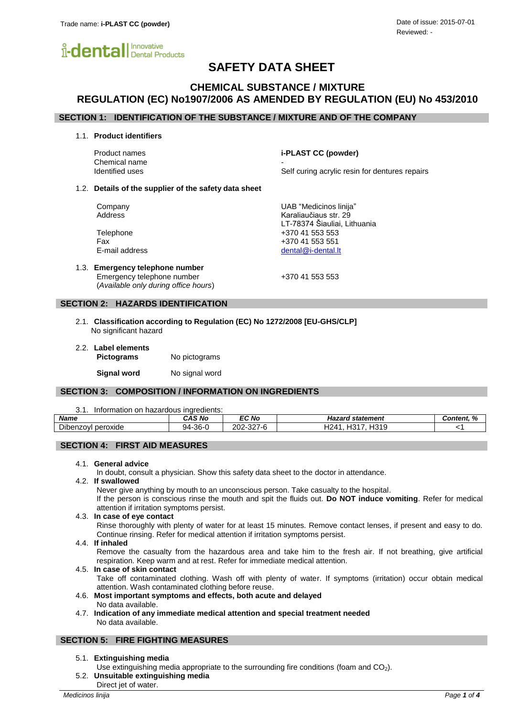

# **SAFETY DATA SHEET**

## **CHEMICAL SUBSTANCE / MIXTURE REGULATION (EC) No1907/2006 AS AMENDED BY REGULATION (EU) No 453/2010**

## **SECTION 1: IDENTIFICATION OF THE SUBSTANCE / MIXTURE AND OF THE COMPANY**

1.1. **Product identifiers**

Product names **i-PLAST CC (powder)** Chemical name Identified uses **Self curing acrylic resin for dentures repairs** Self curing acrylic resin for dentures repairs

#### 1.2. **Details of the supplier of the safety data sheet**

Company UAB "Medicinos linija" Address **Karaliaučiaus str.** 29

Telephone +370 41 553 553 Fax +370 41 553 551 E-mail address [dental@i-dental.lt](mailto:dental@i-dental.lt)

1.3. **Emergency telephone number** Emergency telephone number  $+37041553553$ (*Available only during office hours*)

LT-78374 Šiauliai, Lithuania

### **SECTION 2: HAZARDS IDENTIFICATION**

- 2.1. **Classification according to Regulation (EC) No 1272/2008 [EU-GHS/CLP]** No significant hazard
- 2.2. **Label elements Pictograms** No pictograms **Signal word** No signal word

## **SECTION 3: COMPOSITION / INFORMATION ON INGREDIENTS**

3.1. Information on hazardous ingredients:

| <b>Name</b>                        | CAS No           | <b>EC No</b>                     | statement<br>- - - -<br>nazaro.                      | $\mathbf{a}$<br>Content.<br>$\overline{ }$ |
|------------------------------------|------------------|----------------------------------|------------------------------------------------------|--------------------------------------------|
| $\sim$ 11<br>peroxide<br>Dibenzovi | $-36 - 0$<br>94- | ∩∩ר<br>0 <sub>0</sub><br>202-321 | 1047<br>1210<br>101<br>$\mathbb{Z}^n$<br>س<br>. 1010 |                                            |

## **SECTION 4: FIRST AID MEASURES**

#### 4.1. **General advice**

In doubt, consult a physician. Show this safety data sheet to the doctor in attendance.

#### 4.2. **If swallowed**

Never give anything by mouth to an unconscious person. Take casualty to the hospital.

If the person is conscious rinse the mouth and spit the fluids out. **Do NOT induce vomiting**. Refer for medical attention if irritation symptoms persist.

#### 4.3. **In case of eye contact**

Rinse thoroughly with plenty of water for at least 15 minutes. Remove contact lenses, if present and easy to do. Continue rinsing. Refer for medical attention if irritation symptoms persist.

#### 4.4. **If inhaled**

Remove the casualty from the hazardous area and take him to the fresh air. If not breathing, give artificial respiration. Keep warm and at rest. Refer for immediate medical attention.

#### 4.5. **In case of skin contact**

Take off contaminated clothing. Wash off with plenty of water. If symptoms (irritation) occur obtain medical attention. Wash contaminated clothing before reuse.

- 4.6. **Most important symptoms and effects, both acute and delayed** No data available.
- 4.7. **Indication of any immediate medical attention and special treatment needed** No data available.

## **SECTION 5: FIRE FIGHTING MEASURES**

#### 5.1. **Extinguishing media**

- Use extinguishing media appropriate to the surrounding fire conditions (foam and CO<sub>2</sub>).
- 5.2. **Unsuitable extinguishing media**
- Direct jet of water.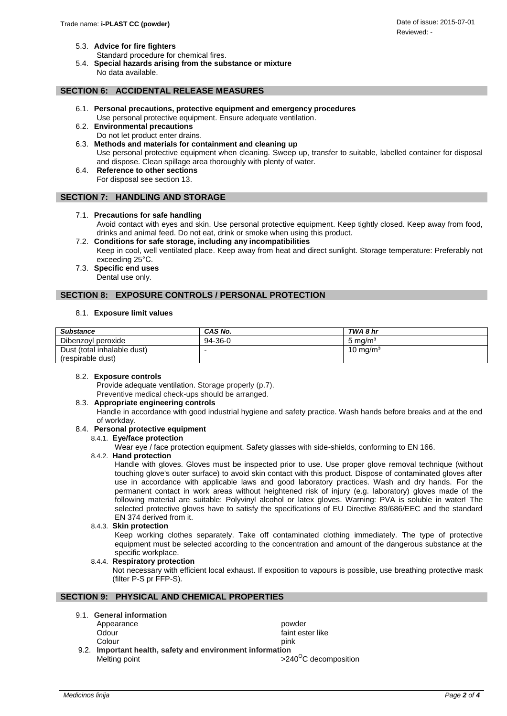- 5.3. **Advice for fire fighters**
	- Standard procedure for chemical fires.
- 5.4. **Special hazards arising from the substance or mixture** No data available.

## **SECTION 6: ACCIDENTAL RELEASE MEASURES**

- 6.1. **Personal precautions, protective equipment and emergency procedures** Use personal protective equipment. Ensure adequate ventilation.
- 6.2. **Environmental precautions** Do not let product enter drains.
- 6.3. **Methods and materials for containment and cleaning up** Use personal protective equipment when cleaning. Sweep up, transfer to suitable, labelled container for disposal and dispose. Clean spillage area thoroughly with plenty of water.
- 6.4. **Reference to other sections** For disposal see section 13.

#### **SECTION 7: HANDLING AND STORAGE**

#### 7.1. **Precautions for safe handling**

Avoid contact with eyes and skin. Use personal protective equipment. Keep tightly closed. Keep away from food, drinks and animal feed. Do not eat, drink or smoke when using this product.

- 7.2. **Conditions for safe storage, including any incompatibilities** Keep in cool, well ventilated place. Keep away from heat and direct sunlight. Storage temperature: Preferably not exceeding 25°C.
- 7.3. **Specific end uses** Dental use only.

## **SECTION 8: EXPOSURE CONTROLS / PERSONAL PROTECTION**

#### 8.1. **Exposure limit values**

| <b>Substance</b>            | CAS No. | TWA 8 hr             |
|-----------------------------|---------|----------------------|
| Dibenzoyl peroxide          | 94-36-0 | 5 mg/m <sup>3</sup>  |
| Dust (total inhalable dust) |         | 10 mg/m <sup>3</sup> |
| (respirable dust)           |         |                      |

#### 8.2. **Exposure controls**

Provide adequate ventilation. Storage properly (p.7). Preventive medical check-ups should be arranged.

#### 8.3. **Appropriate engineering controls**

Handle in accordance with good industrial hygiene and safety practice. Wash hands before breaks and at the end of workday.

#### 8.4. **Personal protective equipment**

#### 8.4.1. **Eye/face protection**

Wear eye / face protection equipment. Safety glasses with side-shields, conforming to EN 166.

#### 8.4.2. **Hand protection**

Handle with gloves. Gloves must be inspected prior to use. Use proper glove removal technique (without touching glove's outer surface) to avoid skin contact with this product. Dispose of contaminated gloves after use in accordance with applicable laws and good laboratory practices. Wash and dry hands. For the permanent contact in work areas without heightened risk of injury (e.g. laboratory) gloves made of the following material are suitable: Polyvinyl alcohol or latex gloves. Warning: PVA is soluble in water! The selected protective gloves have to satisfy the specifications of EU Directive 89/686/EEC and the standard EN 374 derived from it.

#### 8.4.3. **Skin protection**

Keep working clothes separately. Take off contaminated clothing immediately. The type of protective equipment must be selected according to the concentration and amount of the dangerous substance at the specific workplace.

#### 8.4.4. **Respiratory protection**

Not necessary with efficient local exhaust. If exposition to vapours is possible, use breathing protective mask (filter P-S pr FFP-S).

## **SECTION 9: PHYSICAL AND CHEMICAL PROPERTIES**

|  | 9.1. General information |  |  |
|--|--------------------------|--|--|
|--|--------------------------|--|--|

Appearance **powder** Odour faint ester like Colour pink 9.2. **Important health, safety and environment information**  Melting point  $>240^{\circ}$ C decomposition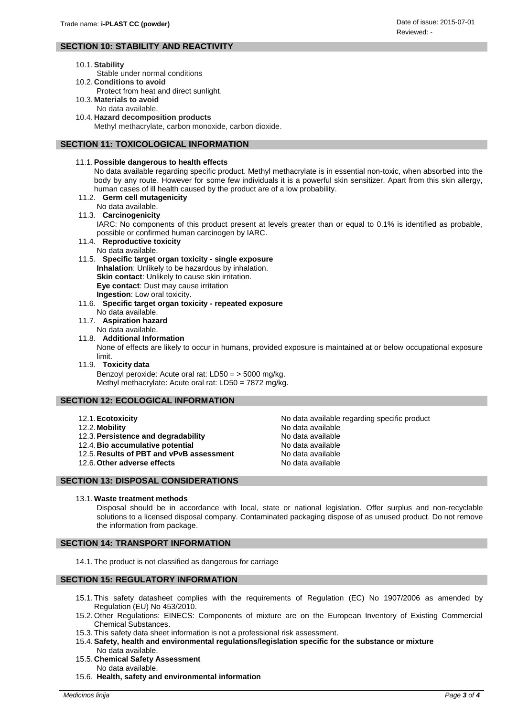## **SECTION 10: STABILITY AND REACTIVITY**

- 10.1.**Stability**
	- Stable under normal conditions
- 10.2. **Conditions to avoid**
	- Protect from heat and direct sunlight.
- 10.3. **Materials to avoid** No data available.
- 10.4. **Hazard decomposition products** Methyl methacrylate, carbon monoxide, carbon dioxide.
- 

## **SECTION 11: TOXICOLOGICAL INFORMATION**

## 11.1.**Possible dangerous to health effects**

No data available regarding specific product. Methyl methacrylate is in essential non-toxic, when absorbed into the body by any route. However for some few individuals it is a powerful skin sensitizer. Apart from this skin allergy, human cases of ill health caused by the product are of a low probability.

- 11.2. **Germ cell mutagenicity**
- No data available.

## 11.3. **Carcinogenicity**

IARC: No components of this product present at levels greater than or equal to 0.1% is identified as probable, possible or confirmed human carcinogen by IARC.

- 11.4. **Reproductive toxicity**
- No data available.
- 11.5. **Specific target organ toxicity - single exposure**

**Inhalation**: Unlikely to be hazardous by inhalation. **Skin contact:** Unlikely to cause skin irritation. **Eye contact**: Dust may cause irritation **Ingestion**: Low oral toxicity.

- 11.6. **Specific target organ toxicity - repeated exposure**
- No data available. 11.7. **Aspiration hazard**
	- No data available.
- 11.8. **Additional Information**

None of effects are likely to occur in humans, provided exposure is maintained at or below occupational exposure limit.

11.9. **Toxicity data** Benzoyl peroxide: Acute oral rat: LD50 = > 5000 mg/kg. Methyl methacrylate: Acute oral rat: LD50 = 7872 mg/kg.

## **SECTION 12: ECOLOGICAL INFORMATION**

- 
- 12.2. Mobility **No. 2.2.** Mobility **No. 2.2.** Modata available
- 12.3. Persistence and degradability No data available
- 12.4. **Bio accumulative potential** No data available
- 12.5.**Results of PBT and vPvB assessment** No data available
- 12.6. Other adverse effects and a state of the No data available

**SECTION 13: DISPOSAL CONSIDERATIONS**

## 13.1. **Waste treatment methods**

Disposal should be in accordance with local, state or national legislation. Offer surplus and non-recyclable solutions to a licensed disposal company. Contaminated packaging dispose of as unused product. Do not remove the information from package.

## **SECTION 14: TRANSPORT INFORMATION**

14.1. The product is not classified as dangerous for carriage

## **SECTION 15: REGULATORY INFORMATION**

- 15.1. This safety datasheet complies with the requirements of Regulation (EC) No 1907/2006 as amended by Regulation (EU) No 453/2010.
- 15.2. Other Regulations: EINECS: Components of mixture are on the European Inventory of Existing Commercial Chemical Substances.
- 15.3. This safety data sheet information is not a professional risk assessment.
- 15.4.**Safety, health and environmental regulations/legislation specific for the substance or mixture** No data available.
- 15.5. **Chemical Safety Assessment** No data available.
- 15.6. **Health, safety and environmental information**

12.1. **Ecotoxicity 12.1. Ecotoxicity 12.1. Ecotoxicity 12.1. Ecotoxicity 12.1. Exercise 2.1. No data available regarding specific product**